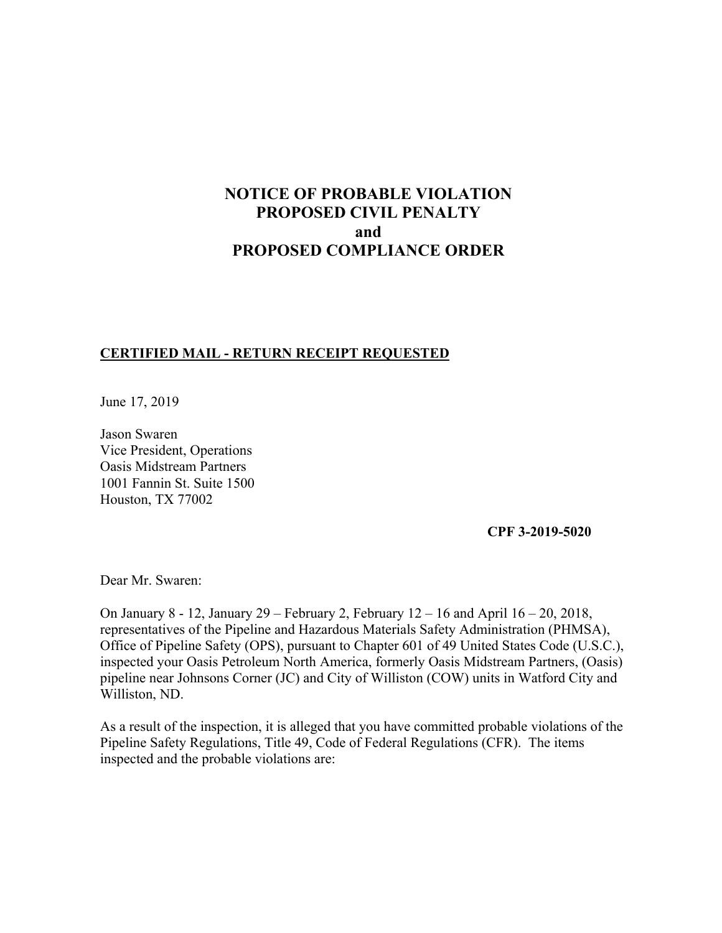# **NOTICE OF PROBABLE VIOLATION PROPOSED CIVIL PENALTY and PROPOSED COMPLIANCE ORDER**

## **CERTIFIED MAIL - RETURN RECEIPT REQUESTED**

June 17, 2019

Jason Swaren Vice President, Operations Oasis Midstream Partners 1001 Fannin St. Suite 1500 Houston, TX 77002

**CPF 3-2019-5020** 

Dear Mr. Swaren:

On January 8 - 12, January 29 – February 2, February 12 – 16 and April 16 – 20, 2018, representatives of the Pipeline and Hazardous Materials Safety Administration (PHMSA), Office of Pipeline Safety (OPS), pursuant to Chapter 601 of 49 United States Code (U.S.C.), inspected your Oasis Petroleum North America, formerly Oasis Midstream Partners, (Oasis) pipeline near Johnsons Corner (JC) and City of Williston (COW) units in Watford City and Williston, ND.

As a result of the inspection, it is alleged that you have committed probable violations of the Pipeline Safety Regulations, Title 49, Code of Federal Regulations (CFR). The items inspected and the probable violations are: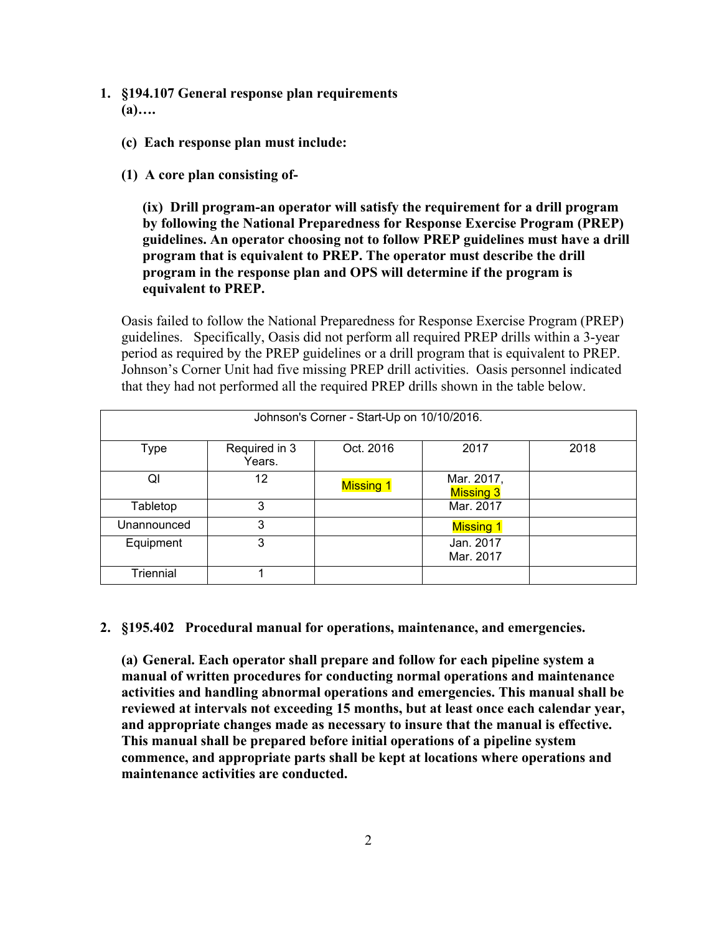- **1. §194.107 General response plan requirements (a)….**
	- **(c) Each response plan must include:**
	- **(1) A core plan consisting of-**

**(ix) Drill program-an operator will satisfy the requirement for a drill program by following the National Preparedness for Response Exercise Program (PREP) guidelines. An operator choosing not to follow PREP guidelines must have a drill program that is equivalent to PREP. The operator must describe the drill program in the response plan and OPS will determine if the program is equivalent to PREP.** 

Oasis failed to follow the National Preparedness for Response Exercise Program (PREP) guidelines. Specifically, Oasis did not perform all required PREP drills within a 3-year period as required by the PREP guidelines or a drill program that is equivalent to PREP. Johnson's Corner Unit had five missing PREP drill activities. Oasis personnel indicated that they had not performed all the required PREP drills shown in the table below.

| Johnson's Corner - Start-Up on 10/10/2016. |                         |                  |                                |      |
|--------------------------------------------|-------------------------|------------------|--------------------------------|------|
| Type                                       | Required in 3<br>Years. | Oct. 2016        | 2017                           | 2018 |
| Ql                                         | 12                      | <b>Missing 1</b> | Mar. 2017,<br><b>Missing 3</b> |      |
| Tabletop                                   | 3                       |                  | Mar. 2017                      |      |
| Unannounced                                | 3                       |                  | <b>Missing 1</b>               |      |
| Equipment                                  | 3                       |                  | Jan. 2017<br>Mar. 2017         |      |
| Triennial                                  |                         |                  |                                |      |

**2. §195.402 Procedural manual for operations, maintenance, and emergencies.**

**(a) General. Each operator shall prepare and follow for each pipeline system a manual of written procedures for conducting normal operations and maintenance activities and handling abnormal operations and emergencies. This manual shall be reviewed at intervals not exceeding 15 months, but at least once each calendar year, and appropriate changes made as necessary to insure that the manual is effective. This manual shall be prepared before initial operations of a pipeline system commence, and appropriate parts shall be kept at locations where operations and maintenance activities are conducted.**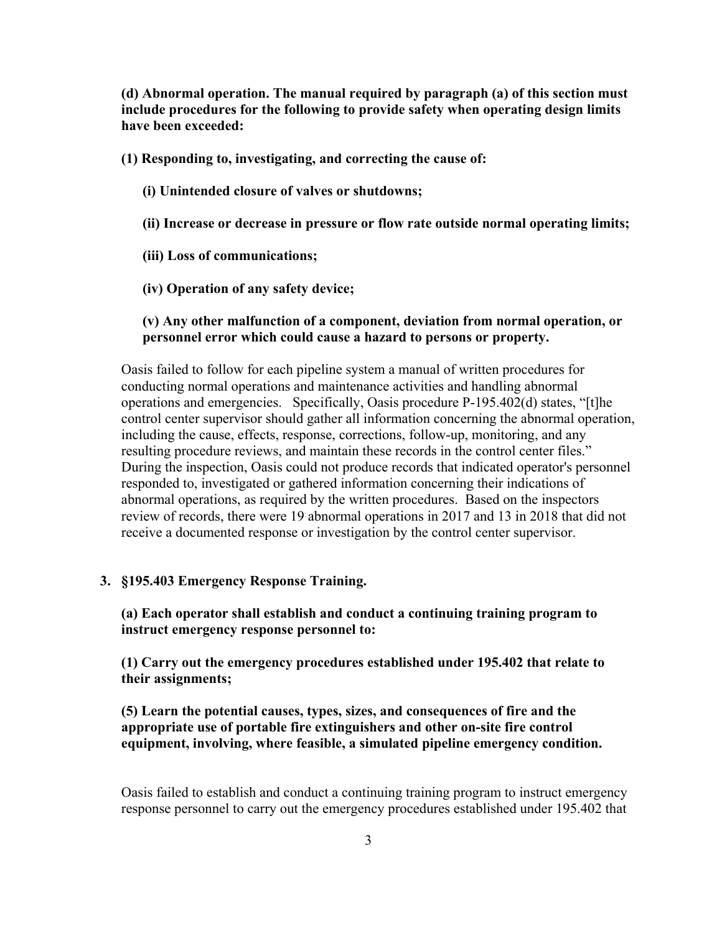**(d) Abnormal operation. The manual required by paragraph (a) of this section must include procedures for the following to provide safety when operating design limits have been exceeded:** 

**(1) Responding to, investigating, and correcting the cause of:** 

- **(i) Unintended closure of valves or shutdowns;**
- **(ii) Increase or decrease in pressure or flow rate outside normal operating limits;**
- **(iii) Loss of communications;**
- **(iv) Operation of any safety device;**

### **(v) Any other malfunction of a component, deviation from normal operation, or personnel error which could cause a hazard to persons or property.**

Oasis failed to follow for each pipeline system a manual of written procedures for conducting normal operations and maintenance activities and handling abnormal operations and emergencies. Specifically, Oasis procedure P-195.402(d) states, "[t]he control center supervisor should gather all information concerning the abnormal operation, including the cause, effects, response, corrections, follow-up, monitoring, and any resulting procedure reviews, and maintain these records in the control center files." During the inspection, Oasis could not produce records that indicated operator's personnel responded to, investigated or gathered information concerning their indications of abnormal operations, as required by the written procedures. Based on the inspectors review of records, there were 19 abnormal operations in 2017 and 13 in 2018 that did not receive a documented response or investigation by the control center supervisor.

#### **3. §195.403 Emergency Response Training.**

**(a) Each operator shall establish and conduct a continuing training program to instruct emergency response personnel to:** 

**(1) Carry out the emergency procedures established under 195.402 that relate to their assignments;** 

**(5) Learn the potential causes, types, sizes, and consequences of fire and the appropriate use of portable fire extinguishers and other on-site fire control equipment, involving, where feasible, a simulated pipeline emergency condition.** 

Oasis failed to establish and conduct a continuing training program to instruct emergency response personnel to carry out the emergency procedures established under 195.402 that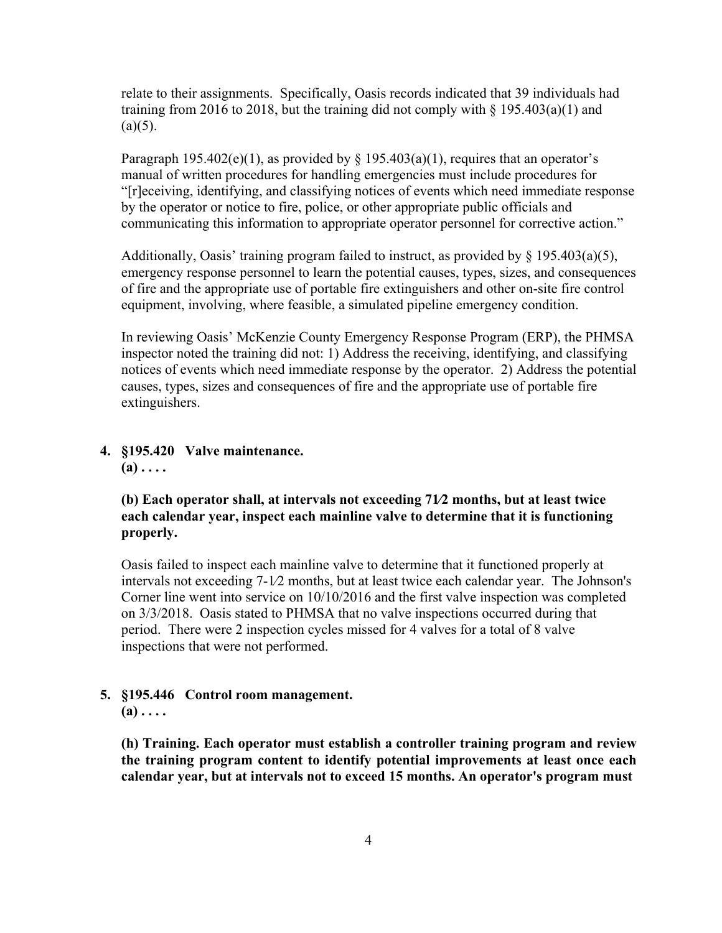relate to their assignments. Specifically, Oasis records indicated that 39 individuals had training from 2016 to 2018, but the training did not comply with  $\S$  195.403(a)(1) and  $(a)(5)$ .

Paragraph 195.402(e)(1), as provided by  $\S$  195.403(a)(1), requires that an operator's manual of written procedures for handling emergencies must include procedures for "[r]eceiving, identifying, and classifying notices of events which need immediate response by the operator or notice to fire, police, or other appropriate public officials and communicating this information to appropriate operator personnel for corrective action."

Additionally, Oasis' training program failed to instruct, as provided by  $\S$  195.403(a)(5), emergency response personnel to learn the potential causes, types, sizes, and consequences of fire and the appropriate use of portable fire extinguishers and other on-site fire control equipment, involving, where feasible, a simulated pipeline emergency condition.

In reviewing Oasis' McKenzie County Emergency Response Program (ERP), the PHMSA inspector noted the training did not: 1) Address the receiving, identifying, and classifying notices of events which need immediate response by the operator. 2) Address the potential causes, types, sizes and consequences of fire and the appropriate use of portable fire extinguishers.

**4. §195.420 Valve maintenance. (a) . . . .** 

## **(b) Each operator shall, at intervals not exceeding 71∕2 months, but at least twice each calendar year, inspect each mainline valve to determine that it is functioning properly.**

Oasis failed to inspect each mainline valve to determine that it functioned properly at intervals not exceeding 7-1∕2 months, but at least twice each calendar year. The Johnson's Corner line went into service on 10/10/2016 and the first valve inspection was completed on 3/3/2018. Oasis stated to PHMSA that no valve inspections occurred during that period. There were 2 inspection cycles missed for 4 valves for a total of 8 valve inspections that were not performed.

## **5. §195.446 Control room management.**

 $(a) \ldots$ 

**(h) Training. Each operator must establish a controller training program and review the training program content to identify potential improvements at least once each calendar year, but at intervals not to exceed 15 months. An operator's program must**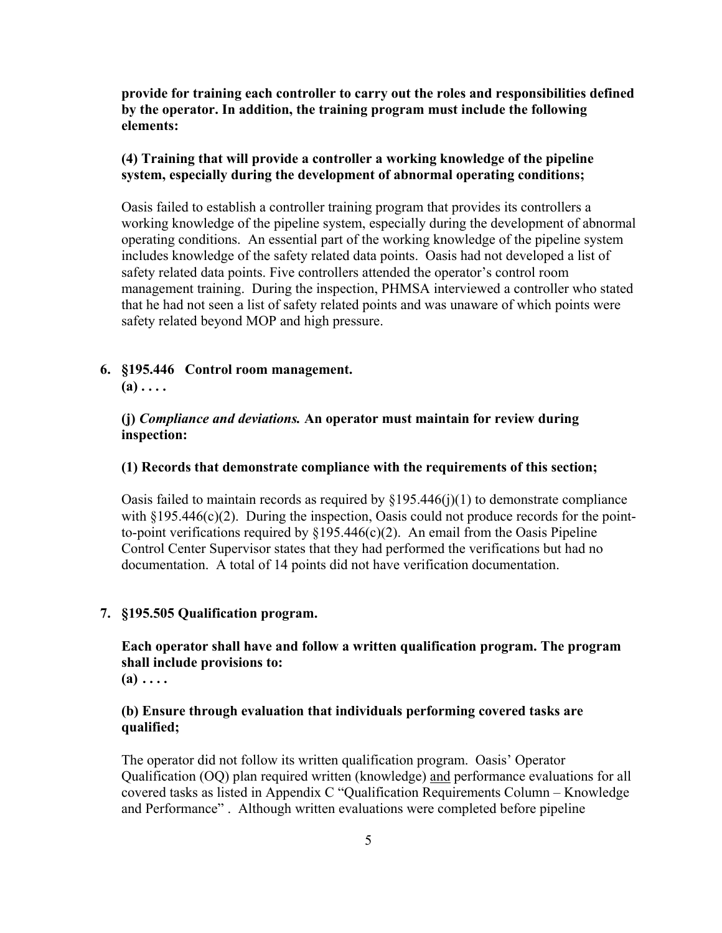**provide for training each controller to carry out the roles and responsibilities defined by the operator. In addition, the training program must include the following elements:** 

## **(4) Training that will provide a controller a working knowledge of the pipeline system, especially during the development of abnormal operating conditions;**

Oasis failed to establish a controller training program that provides its controllers a working knowledge of the pipeline system, especially during the development of abnormal operating conditions. An essential part of the working knowledge of the pipeline system includes knowledge of the safety related data points. Oasis had not developed a list of safety related data points. Five controllers attended the operator's control room management training. During the inspection, PHMSA interviewed a controller who stated that he had not seen a list of safety related points and was unaware of which points were safety related beyond MOP and high pressure.

### **6. §195.446 Control room management.**

 $(a)$ ....

## **(j)** *Compliance and deviations.* **An operator must maintain for review during inspection:**

#### **(1) Records that demonstrate compliance with the requirements of this section;**

Oasis failed to maintain records as required by  $\S 195.446(j)(1)$  to demonstrate compliance with  $\S 195.446(c)(2)$ . During the inspection, Oasis could not produce records for the pointto-point verifications required by  $\S 195.446(c)(2)$ . An email from the Oasis Pipeline Control Center Supervisor states that they had performed the verifications but had no documentation. A total of 14 points did not have verification documentation.

#### **7. §195.505 Qualification program.**

## **Each operator shall have and follow a written qualification program. The program shall include provisions to:**

 $(a) \ldots$ 

## **(b) Ensure through evaluation that individuals performing covered tasks are qualified;**

The operator did not follow its written qualification program. Oasis' Operator Qualification (OQ) plan required written (knowledge) and performance evaluations for all covered tasks as listed in Appendix C "Qualification Requirements Column – Knowledge and Performance" . Although written evaluations were completed before pipeline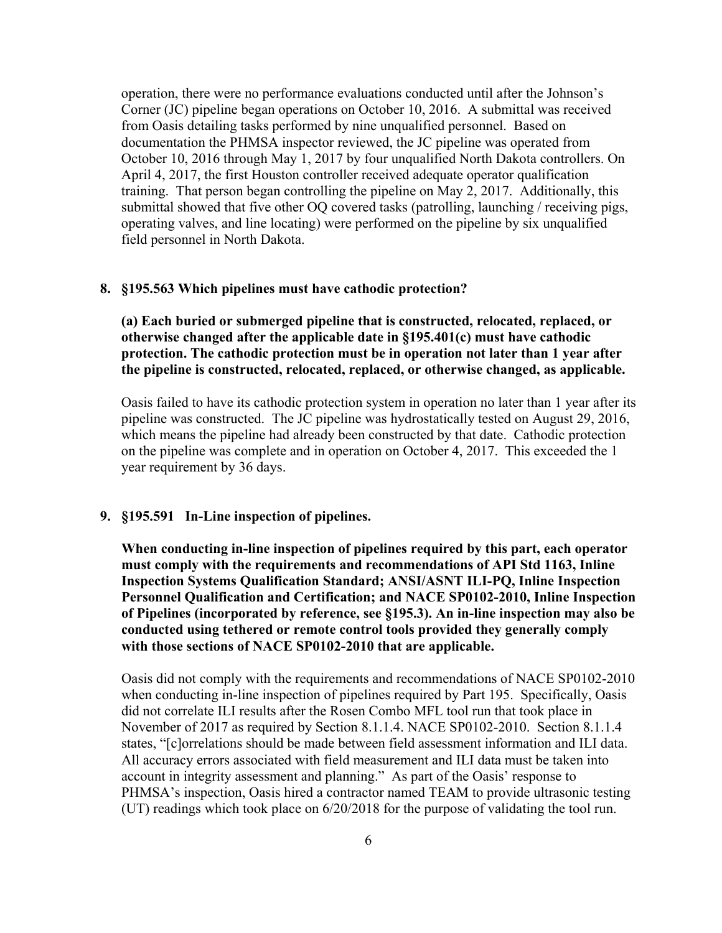operation, there were no performance evaluations conducted until after the Johnson's Corner (JC) pipeline began operations on October 10, 2016. A submittal was received from Oasis detailing tasks performed by nine unqualified personnel. Based on documentation the PHMSA inspector reviewed, the JC pipeline was operated from October 10, 2016 through May 1, 2017 by four unqualified North Dakota controllers. On April 4, 2017, the first Houston controller received adequate operator qualification training. That person began controlling the pipeline on May 2, 2017. Additionally, this submittal showed that five other OQ covered tasks (patrolling, launching / receiving pigs, operating valves, and line locating) were performed on the pipeline by six unqualified field personnel in North Dakota.

## **8. §195.563 Which pipelines must have cathodic protection?**

**(a) Each buried or submerged pipeline that is constructed, relocated, replaced, or otherwise changed after the applicable date in §195.401(c) must have cathodic protection. The cathodic protection must be in operation not later than 1 year after the pipeline is constructed, relocated, replaced, or otherwise changed, as applicable.** 

Oasis failed to have its cathodic protection system in operation no later than 1 year after its pipeline was constructed. The JC pipeline was hydrostatically tested on August 29, 2016, which means the pipeline had already been constructed by that date. Cathodic protection on the pipeline was complete and in operation on October 4, 2017. This exceeded the 1 year requirement by 36 days.

#### **9. §195.591 In-Line inspection of pipelines.**

**When conducting in-line inspection of pipelines required by this part, each operator must comply with the requirements and recommendations of API Std 1163, Inline Inspection Systems Qualification Standard; ANSI/ASNT ILI-PQ, Inline Inspection Personnel Qualification and Certification; and NACE SP0102-2010, Inline Inspection of Pipelines (incorporated by reference, see §195.3). An in-line inspection may also be conducted using tethered or remote control tools provided they generally comply with those sections of NACE SP0102-2010 that are applicable.**

Oasis did not comply with the requirements and recommendations of NACE SP0102-2010 when conducting in-line inspection of pipelines required by Part 195. Specifically, Oasis did not correlate ILI results after the Rosen Combo MFL tool run that took place in November of 2017 as required by Section 8.1.1.4. NACE SP0102-2010. Section 8.1.1.4 states, "[c]orrelations should be made between field assessment information and ILI data. All accuracy errors associated with field measurement and ILI data must be taken into account in integrity assessment and planning." As part of the Oasis' response to PHMSA's inspection, Oasis hired a contractor named TEAM to provide ultrasonic testing (UT) readings which took place on 6/20/2018 for the purpose of validating the tool run.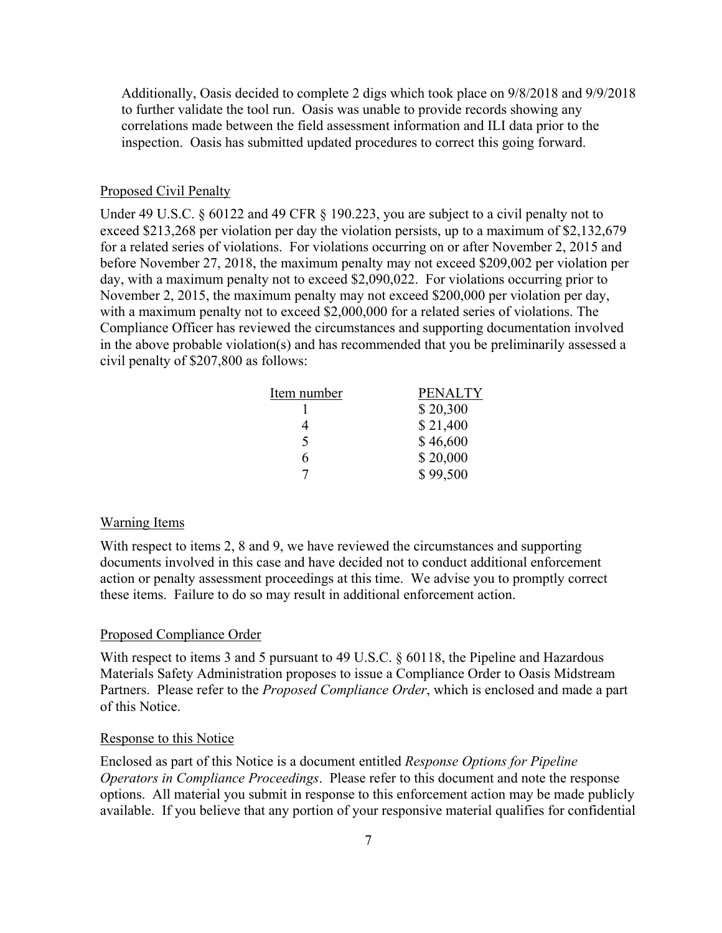Additionally, Oasis decided to complete 2 digs which took place on 9/8/2018 and 9/9/2018 to further validate the tool run. Oasis was unable to provide records showing any correlations made between the field assessment information and ILI data prior to the inspection. Oasis has submitted updated procedures to correct this going forward.

#### Proposed Civil Penalty

Under 49 U.S.C. § 60122 and 49 CFR § 190.223, you are subject to a civil penalty not to exceed \$213,268 per violation per day the violation persists, up to a maximum of \$2,132,679 for a related series of violations. For violations occurring on or after November 2, 2015 and before November 27, 2018, the maximum penalty may not exceed \$209,002 per violation per day, with a maximum penalty not to exceed \$2,090,022. For violations occurring prior to November 2, 2015, the maximum penalty may not exceed \$200,000 per violation per day, with a maximum penalty not to exceed \$2,000,000 for a related series of violations. The Compliance Officer has reviewed the circumstances and supporting documentation involved in the above probable violation(s) and has recommended that you be preliminarily assessed a civil penalty of \$207,800 as follows:

| Item number | <b>PENALTY</b> |  |
|-------------|----------------|--|
|             | \$20,300       |  |
|             | \$21,400       |  |
| 5           | \$46,600       |  |
| 6           | \$20,000       |  |
|             | \$99,500       |  |

#### Warning Items

With respect to items 2, 8 and 9, we have reviewed the circumstances and supporting documents involved in this case and have decided not to conduct additional enforcement action or penalty assessment proceedings at this time. We advise you to promptly correct these items. Failure to do so may result in additional enforcement action.

#### Proposed Compliance Order

With respect to items 3 and 5 pursuant to 49 U.S.C. § 60118, the Pipeline and Hazardous Materials Safety Administration proposes to issue a Compliance Order to Oasis Midstream Partners. Please refer to the *Proposed Compliance Order*, which is enclosed and made a part of this Notice.

#### Response to this Notice

Enclosed as part of this Notice is a document entitled *Response Options for Pipeline Operators in Compliance Proceedings*. Please refer to this document and note the response options. All material you submit in response to this enforcement action may be made publicly available. If you believe that any portion of your responsive material qualifies for confidential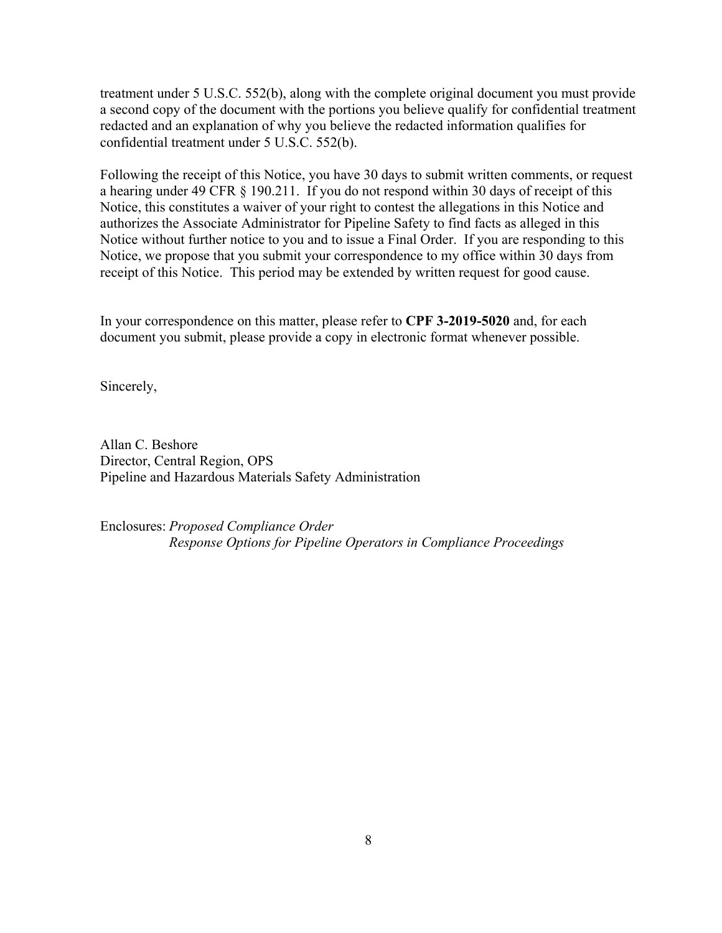treatment under 5 U.S.C. 552(b), along with the complete original document you must provide a second copy of the document with the portions you believe qualify for confidential treatment redacted and an explanation of why you believe the redacted information qualifies for confidential treatment under 5 U.S.C. 552(b).

Following the receipt of this Notice, you have 30 days to submit written comments, or request a hearing under 49 CFR § 190.211. If you do not respond within 30 days of receipt of this Notice, this constitutes a waiver of your right to contest the allegations in this Notice and authorizes the Associate Administrator for Pipeline Safety to find facts as alleged in this Notice without further notice to you and to issue a Final Order. If you are responding to this Notice, we propose that you submit your correspondence to my office within 30 days from receipt of this Notice. This period may be extended by written request for good cause.

In your correspondence on this matter, please refer to **CPF 3-2019-5020** and, for each document you submit, please provide a copy in electronic format whenever possible.

Sincerely,

Allan C. Beshore Director, Central Region, OPS Pipeline and Hazardous Materials Safety Administration

Enclosures: *Proposed Compliance Order Response Options for Pipeline Operators in Compliance Proceedings*